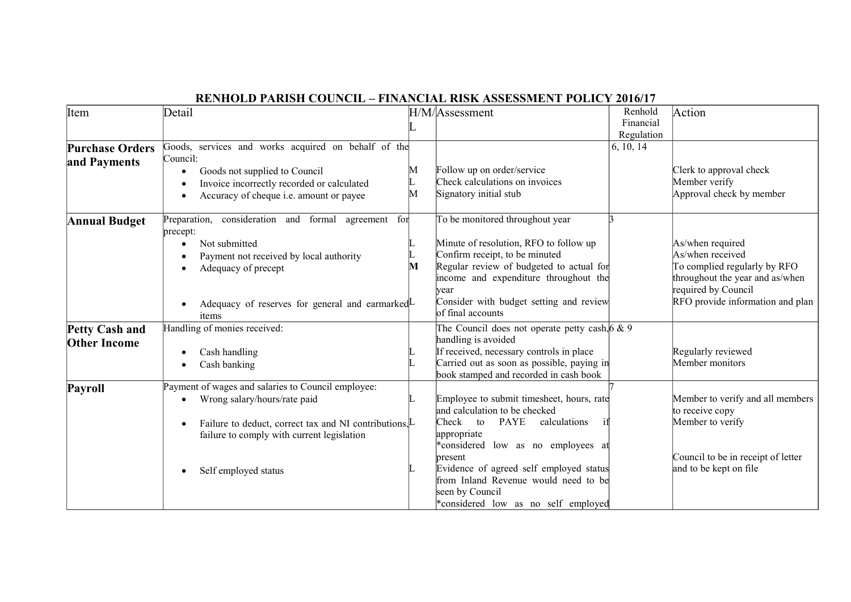| Item                                         | Detail                                                                                                                                                                                                                          |        | H/M/Assessment                                                                                                                                                                                                                                                                                                                        | Renhold<br>Financial<br>Regulation | Action                                                                                                                                                             |
|----------------------------------------------|---------------------------------------------------------------------------------------------------------------------------------------------------------------------------------------------------------------------------------|--------|---------------------------------------------------------------------------------------------------------------------------------------------------------------------------------------------------------------------------------------------------------------------------------------------------------------------------------------|------------------------------------|--------------------------------------------------------------------------------------------------------------------------------------------------------------------|
| <b>Purchase Orders</b><br>and Payments       | Goods, services and works acquired on behalf of the<br>Council:<br>Goods not supplied to Council<br>Invoice incorrectly recorded or calculated<br>Accuracy of cheque i.e. amount or payee                                       | М<br>М | Follow up on order/service<br>Check calculations on invoices<br>Signatory initial stub                                                                                                                                                                                                                                                | 6, 10, 14                          | Clerk to approval check<br>Member verify<br>Approval check by member                                                                                               |
| <b>Annual Budget</b>                         | Preparation, consideration and formal agreement<br>for<br>precept:<br>Not submitted<br>$\bullet$<br>Payment not received by local authority<br>Adequacy of precept<br>Adequacy of reserves for general and earmarked L<br>items | м      | To be monitored throughout year<br>Minute of resolution, RFO to follow up<br>Confirm receipt, to be minuted<br>Regular review of budgeted to actual for<br>income and expenditure throughout the<br>vear<br>Consider with budget setting and review<br>of final accounts                                                              |                                    | As/when required<br>As/when received<br>To complied regularly by RFO<br>throughout the year and as/when<br>required by Council<br>RFO provide information and plan |
| <b>Petty Cash and</b><br><b>Other Income</b> | Handling of monies received:<br>Cash handling<br>Cash banking                                                                                                                                                                   |        | The Council does not operate petty cash, $6 \& 9$<br>handling is avoided<br>If received, necessary controls in place<br>Carried out as soon as possible, paying in<br>book stamped and recorded in cash book                                                                                                                          |                                    | Regularly reviewed<br>Member monitors                                                                                                                              |
| Payroll                                      | Payment of wages and salaries to Council employee:<br>Wrong salary/hours/rate paid<br>Failure to deduct, correct tax and NI contributions, L<br>failure to comply with current legislation<br>Self employed status              |        | Employee to submit timesheet, hours, rate<br>and calculation to be checked<br>Check<br><b>PAYE</b><br>calculations<br>to<br>appropriate<br>*considered low as no employees at<br>present<br>Evidence of agreed self employed status<br>from Inland Revenue would need to be<br>seen by Council<br>*considered low as no self employed |                                    | Member to verify and all members<br>to receive copy<br>Member to verify<br>Council to be in receipt of letter<br>and to be kept on file                            |

## **RENHOLD PARISH COUNCIL – FINANCIAL RISK ASSESSMENT POLICY 2016/17**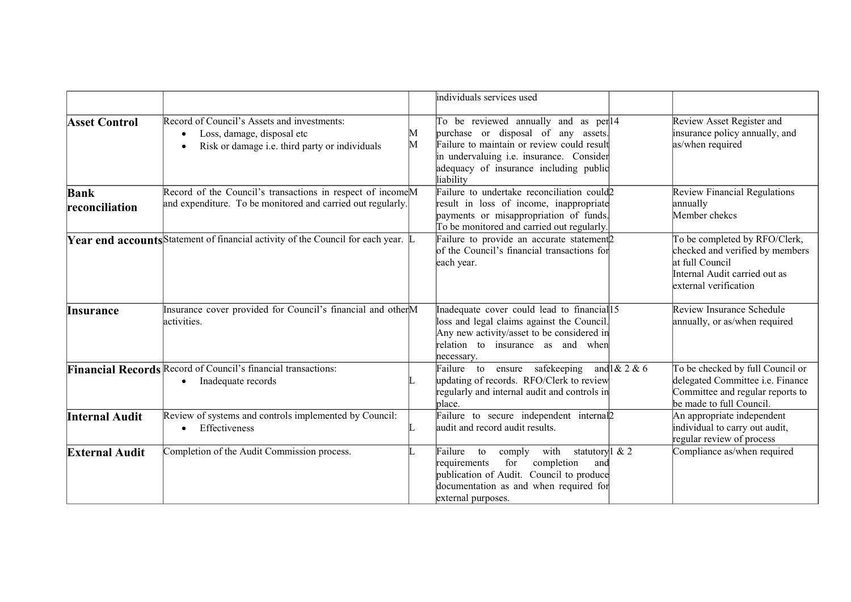|                               |                                                                                                                                       |        | individuals services used                                                                                                                                                                                                     |                                                                                                                                               |
|-------------------------------|---------------------------------------------------------------------------------------------------------------------------------------|--------|-------------------------------------------------------------------------------------------------------------------------------------------------------------------------------------------------------------------------------|-----------------------------------------------------------------------------------------------------------------------------------------------|
| <b>Asset Control</b>          | Record of Council's Assets and investments:<br>Loss, damage, disposal etc<br>Risk or damage i.e. third party or individuals           | М<br>М | To be reviewed annually and as per 14<br>purchase or disposal of any assets.<br>Failure to maintain or review could result<br>in undervaluing i.e. insurance. Consider<br>adequacy of insurance including public<br>liability | Review Asset Register and<br>insurance policy annually, and<br>as/when required                                                               |
| <b>Bank</b><br>reconciliation | Record of the Council's transactions in respect of income <sup>M</sup><br>and expenditure. To be monitored and carried out regularly. |        | Failure to undertake reconciliation could2<br>result in loss of income, inappropriate<br>payments or misappropriation of funds.<br>To be monitored and carried out regularly.                                                 | Review Financial Regulations<br>annually<br>Member chekcs                                                                                     |
|                               | <b>Year end accounts</b> Statement of financial activity of the Council for each year. $\mathbb{L}$                                   |        | Failure to provide an accurate statement <sub>2</sub><br>of the Council's financial transactions for<br>each year.                                                                                                            | To be completed by RFO/Clerk,<br>checked and verified by members<br>at full Council<br>Internal Audit carried out as<br>external verification |
| Insurance                     | Insurance cover provided for Council's financial and otherM<br>activities.                                                            |        | Inadequate cover could lead to financial 15<br>loss and legal claims against the Council.<br>Any new activity/asset to be considered in<br>relation to insurance as and when<br>necessary.                                    | Review Insurance Schedule<br>annually, or as/when required                                                                                    |
|                               | Financial Records Record of Council's financial transactions:<br>Inadequate records                                                   |        | Failure to<br>ensure safekeeping and $1 & 2 & 6$<br>updating of records. RFO/Clerk to review<br>regularly and internal audit and controls in<br>place.                                                                        | To be checked by full Council or<br>delegated Committee i.e. Finance<br>Committee and regular reports to<br>be made to full Council.          |
| <b>Internal Audit</b>         | Review of systems and controls implemented by Council:<br>Effectiveness                                                               |        | Failure to secure independent internal <sub>2</sub><br>audit and record audit results.                                                                                                                                        | An appropriate independent<br>individual to carry out audit,<br>regular review of process                                                     |
| <b>External Audit</b>         | Completion of the Audit Commission process.                                                                                           |        | Failure to<br>with<br>statutory <sup>1</sup> & 2<br>comply<br>for<br>completion<br>requirements<br>and<br>publication of Audit. Council to produce<br>documentation as and when required for<br>external purposes.            | Compliance as/when required                                                                                                                   |